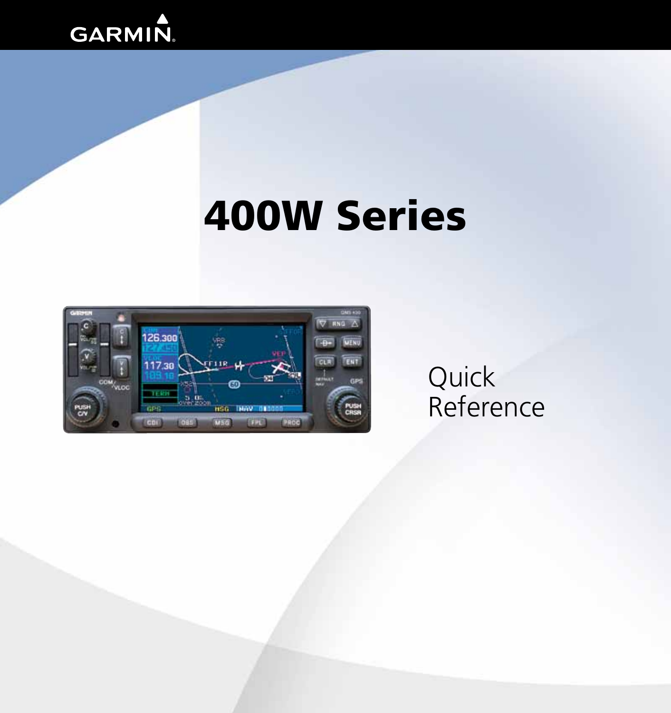

# 400W Series



# **Quick** Reference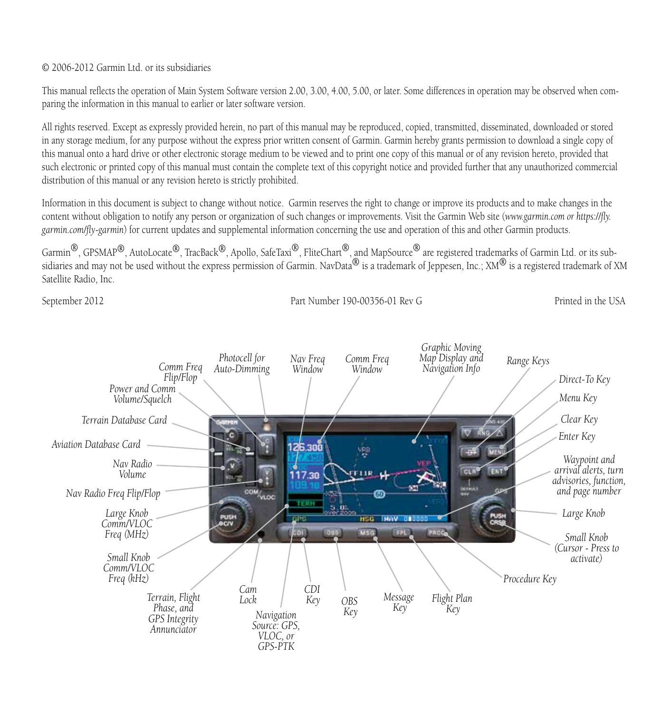#### © 2006-2012 Garmin Ltd. or its subsidiaries

This manual reflects the operation of Main System Software version 2.00, 3.00, 4.00, 5.00, or later. Some differences in operation may be observed when comparing the information in this manual to earlier or later software version.

All rights reserved. Except as expressly provided herein, no part of this manual may be reproduced, copied, transmitted, disseminated, downloaded or stored in any storage medium, for any purpose without the express prior written consent of Garmin. Garmin hereby grants permission to download a single copy of this manual onto a hard drive or other electronic storage medium to be viewed and to print one copy of this manual or of any revision hereto, provided that such electronic or printed copy of this manual must contain the complete text of this copyright notice and provided further that any unauthorized commercial distribution of this manual or any revision hereto is strictly prohibited.

Information in this document is subject to change without notice. Garmin reserves the right to change or improve its products and to make changes in the content without obligation to notify any person or organization of such changes or improvements. Visit the Garmin Web site (*www.garmin.com or https://fly. garmin.com/fly-garmin*) for current updates and supplemental information concerning the use and operation of this and other Garmin products.

Garmin®, GPSMAP®, AutoLocate®, TracBack®, Apollo, SafeTaxi®, FliteChart®, and MapSource® are registered trademarks of Garmin Ltd. or its subsidiaries and may not be used without the express permission of Garmin. NavData® is a trademark of Jeppesen, Inc.;  $\text{XM}^{\textcircled{\textbf{0}}}$  is a registered trademark of XM Satellite Radio, Inc.

September 2012 Part Number 190-00356-01 Rev G Printed in the USA

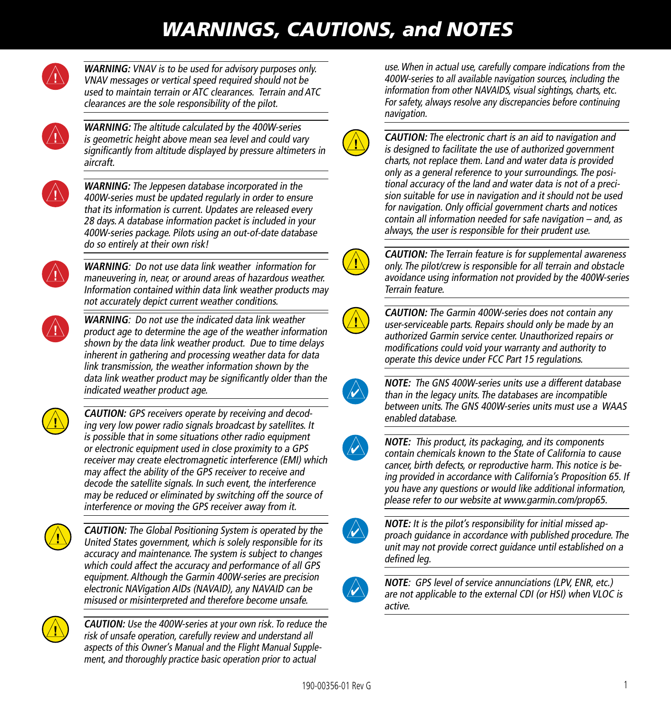### *WARNINGS, CAUTIONS, and NOTES*



**WARNING:** VNAV is to be used for advisory purposes only. VNAV messages or vertical speed required should not be used to maintain terrain or ATC clearances. Terrain and ATC clearances are the sole responsibility of the pilot.



**WARNING:** The altitude calculated by the 400W-series is geometric height above mean sea level and could vary significantly from altitude displayed by pressure altimeters in aircraft.



**WARNING:** The Jeppesen database incorporated in the 400W-series must be updated regularly in order to ensure that its information is current. Updates are released every 28 days. A database information packet is included in your 400W-series package. Pilots using an out-of-date database do so entirely at their own risk!



**WARNING**: Do not use data link weather information for maneuvering in, near, or around areas of hazardous weather. Information contained within data link weather products may not accurately depict current weather conditions.



**WARNING**: Do not use the indicated data link weather product age to determine the age of the weather information shown by the data link weather product. Due to time delays inherent in gathering and processing weather data for data link transmission, the weather information shown by the data link weather product may be significantly older than the indicated weather product age.



**CAUTION:** GPS receivers operate by receiving and decoding very low power radio signals broadcast by satellites. It is possible that in some situations other radio equipment or electronic equipment used in close proximity to a GPS receiver may create electromagnetic interference (EMI) which may affect the ability of the GPS receiver to receive and decode the satellite signals. In such event, the interference may be reduced or eliminated by switching off the source of interference or moving the GPS receiver away from it.



**CAUTION:** The Global Positioning System is operated by the United States government, which is solely responsible for its accuracy and maintenance. The system is subject to changes which could affect the accuracy and performance of all GPS equipment. Although the Garmin 400W-series are precision electronic NAVigation AIDs (NAVAID), any NAVAID can be misused or misinterpreted and therefore become unsafe.



**CAUTION:** Use the 400W-series at your own risk. To reduce the risk of unsafe operation, carefully review and understand all aspects of this Owner's Manual and the Flight Manual Supplement, and thoroughly practice basic operation prior to actual

use. When in actual use, carefully compare indications from the 400W-series to all available navigation sources, including the information from other NAVAIDS, visual sightings, charts, etc. For safety, always resolve any discrepancies before continuing navigation.



**CAUTION:** The electronic chart is an aid to navigation and is designed to facilitate the use of authorized government charts, not replace them. Land and water data is provided only as a general reference to your surroundings. The positional accuracy of the land and water data is not of a precision suitable for use in navigation and it should not be used for navigation. Only official government charts and notices contain all information needed for safe navigation – and, as always, the user is responsible for their prudent use.



**CAUTION:** The Terrain feature is for supplemental awareness only. The pilot/crew is responsible for all terrain and obstacle avoidance using information not provided by the 400W-series Terrain feature.



**CAUTION:** The Garmin 400W-series does not contain any user-serviceable parts. Repairs should only be made by an authorized Garmin service center. Unauthorized repairs or modifications could void your warranty and authority to operate this device under FCC Part 15 regulations.



**NOTE:** The GNS 400W-series units use a different database than in the legacy units. The databases are incompatible between units. The GNS 400W-series units must use a WAAS enabled database.



**NOTE:** This product, its packaging, and its components contain chemicals known to the State of California to cause cancer, birth defects, or reproductive harm. This notice is being provided in accordance with California's Proposition 65. If you have any questions or would like additional information, please refer to our website at www.garmin.com/prop65.



**NOTE:** It is the pilot's responsibility for initial missed approach guidance in accordance with published procedure. The unit may not provide correct guidance until established on a defined leg.



**NOTE**: GPS level of service annunciations (LPV, ENR, etc.) are not applicable to the external CDI (or HSI) when VLOC is active.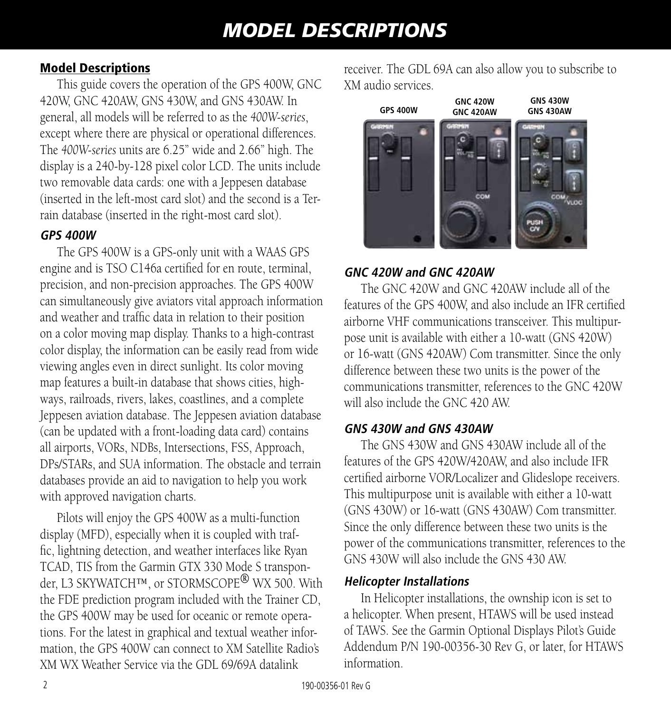### *MODEL DESCRIPTIONS*

#### Model Descriptions

This guide covers the operation of the GPS 400W, GNC 420W, GNC 420AW, GNS 430W, and GNS 430AW. In general, all models will be referred to as the *400W-series*, except where there are physical or operational differences. The *400W-series* units are 6.25" wide and 2.66" high. The display is a 240-by-128 pixel color LCD. The units include two removable data cards: one with a Jeppesen database (inserted in the left-most card slot) and the second is a Terrain database (inserted in the right-most card slot).

#### **GPS 400W**

The GPS 400W is a GPS-only unit with a WAAS GPS engine and is TSO C146a certified for en route, terminal, precision, and non-precision approaches. The GPS 400W can simultaneously give aviators vital approach information and weather and traffic data in relation to their position on a color moving map display. Thanks to a high-contrast color display, the information can be easily read from wide viewing angles even in direct sunlight. Its color moving map features a built-in database that shows cities, highways, railroads, rivers, lakes, coastlines, and a complete Jeppesen aviation database. The Jeppesen aviation database (can be updated with a front-loading data card) contains all airports, VORs, NDBs, Intersections, FSS, Approach, DPs/STARs, and SUA information. The obstacle and terrain databases provide an aid to navigation to help you work with approved navigation charts.

Pilots will enjoy the GPS 400W as a multi-function display (MFD), especially when it is coupled with traffic, lightning detection, and weather interfaces like Ryan TCAD, TIS from the Garmin GTX 330 Mode S transponder, L3 SKYWATCH™, or STORMSCOPE<sup>®</sup> WX 500. With the FDE prediction program included with the Trainer CD, the GPS 400W may be used for oceanic or remote operations. For the latest in graphical and textual weather information, the GPS 400W can connect to XM Satellite Radio's XM WX Weather Service via the GDL 69/69A datalink

receiver. The GDL 69A can also allow you to subscribe to XM audio services.



#### **GNC 420W and GNC 420AW**

The GNC 420W and GNC 420AW include all of the features of the GPS 400W, and also include an IFR certified airborne VHF communications transceiver. This multipurpose unit is available with either a 10-watt (GNS 420W) or 16-watt (GNS 420AW) Com transmitter. Since the only difference between these two units is the power of the communications transmitter, references to the GNC 420W will also include the GNC 420 AW.

#### **GNS 430W and GNS 430AW**

The GNS 430W and GNS 430AW include all of the features of the GPS 420W/420AW, and also include IFR certified airborne VOR/Localizer and Glideslope receivers. This multipurpose unit is available with either a 10-watt (GNS 430W) or 16-watt (GNS 430AW) Com transmitter. Since the only difference between these two units is the power of the communications transmitter, references to the GNS 430W will also include the GNS 430 AW.

#### **Helicopter Installations**

In Helicopter installations, the ownship icon is set to a helicopter. When present, HTAWS will be used instead of TAWS. See the Garmin Optional Displays Pilot's Guide Addendum P/N 190-00356-30 Rev G, or later, for HTAWS information.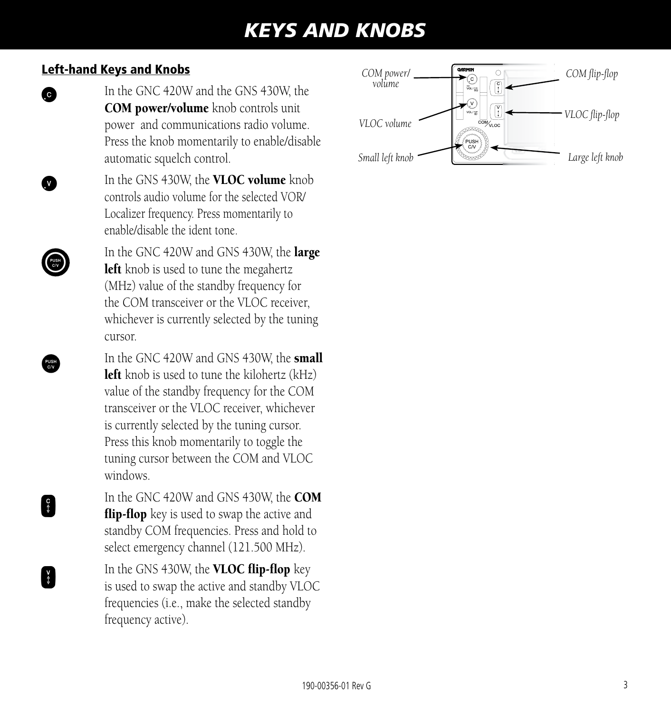### *KEYS AND KNOBS*

#### Left-hand Keys and Knobs

- **c** In the GNC 420W and the GNS 430W, the COM power/volume knob controls unit power and communications radio volume. Press the knob momentarily to enable/disable automatic squelch control.
	- In the GNS 430W, the VLOC volume knob controls audio volume for the selected VOR/ Localizer frequency. Press momentarily to enable/disable the ident tone.
	- In the GNC 420W and GNS 430W, the **large** left knob is used to tune the megahertz (MHz) value of the standby frequency for the COM transceiver or the VLOC receiver, whichever is currently selected by the tuning cursor.
	- In the GNC 420W and GNS 430W, the **small** left knob is used to tune the kilohertz (kHz) value of the standby frequency for the COM transceiver or the VLOC receiver, whichever is currently selected by the tuning cursor. Press this knob momentarily to toggle the tuning cursor between the COM and VLOC windows.
- In the GNC 420W and GNS 430W, the **COM flip-flop** key is used to swap the active and standby COM frequencies. Press and hold to select emergency channel (121.500 MHz).
- In the GNS 430W, the **VLOC flip-flop** key is used to swap the active and standby VLOC frequencies (i.e., make the selected standby frequency active).

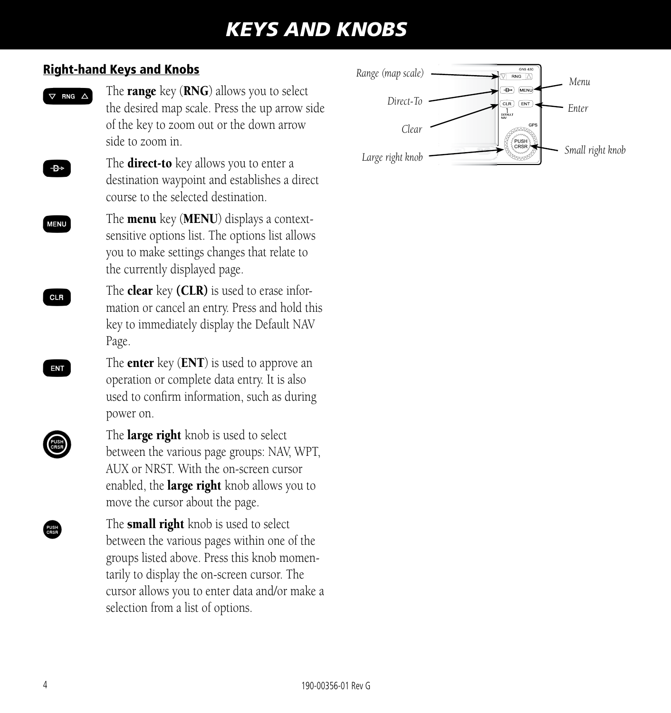### *KEYS AND KNOBS*

#### Right-hand Keys and Knobs

 $\nabla$  FNG  $\triangle$  The **range** key (**RNG**) allows you to select the desired map scale. Press the up arrow side of the key to zoom out or the down arrow side to zoom in.

- $\overline{B}_{\overline{B}}$  The **direct-to** key allows you to enter a destination waypoint and establishes a direct course to the selected destination.
- $M<sub>ENU</sub>$  The **menu** key (**MENU**) displays a contextsensitive options list. The options list allows you to make settings changes that relate to the currently displayed page.
- $C_{\text{CLR}}$  The **clear** key (**CLR**) is used to erase information or cancel an entry. Press and hold this key to immediately display the Default NAV Page.
- $\mathbf{E}$  The **enter** key (**ENT**) is used to approve an operation or complete data entry. It is also used to confirm information, such as during power on.
- 

The **large right** knob is used to select between the various page groups: NAV, WPT, AUX or NRST. With the on-screen cursor enabled, the **large right** knob allows you to move the cursor about the page.

> The **small right** knob is used to select between the various pages within one of the groups listed above. Press this knob momentarily to display the on-screen cursor. The cursor allows you to enter data and/or make a selection from a list of options.

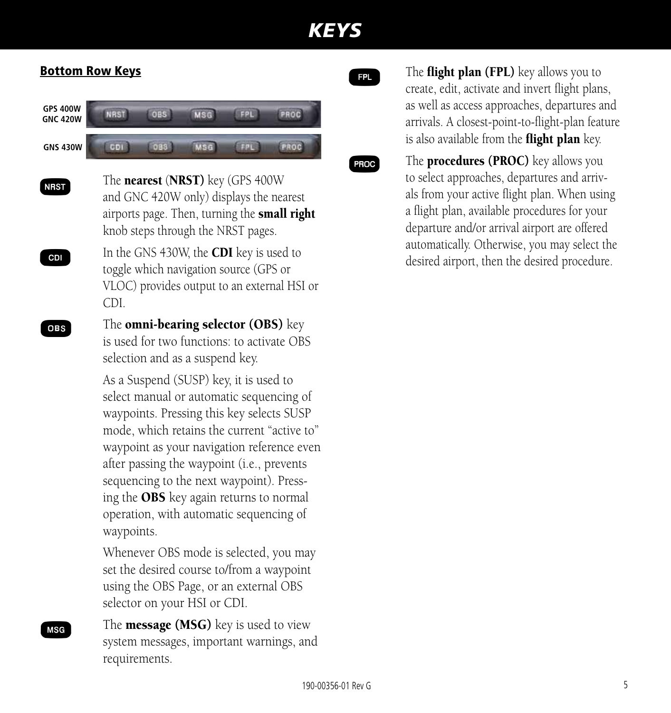#### Bottom Row Keys

| <b>GPS 400W</b><br><b>GNC 420W</b> |  |  |  |
|------------------------------------|--|--|--|
| <b>GNS 430W</b>                    |  |  |  |

- NRST The nearest (NRST) key (GPS 400W and GNC 420W only) displays the nearest airports page. Then, turning the **small right** knob steps through the NRST pages.
- **CDI** In the GNS 430W, the **CDI** key is used to toggle which navigation source (GPS or VLOC) provides output to an external HSI or CDI.

**OBS** The **omni-bearing selector (OBS)** key is used for two functions: to activate OBS selection and as a suspend key.

> As a Suspend (SUSP) key, it is used to select manual or automatic sequencing of waypoints. Pressing this key selects SUSP mode, which retains the current "active to" waypoint as your navigation reference even after passing the waypoint (i.e., prevents sequencing to the next waypoint). Pressing the OBS key again returns to normal operation, with automatic sequencing of waypoints.

Whenever OBS mode is selected, you may set the desired course to/from a waypoint using the OBS Page, or an external OBS selector on your HSI or CDI.

**MSG** The **message (MSG)** key is used to view system messages, important warnings, and requirements.

**For** The **flight plan (FPL)** key allows you to create, edit, activate and invert flight plans, as well as access approaches, departures and arrivals. A closest-point-to-flight-plan feature is also available from the **flight plan** key.

**PROC** The **procedures (PROC)** key allows you to select approaches, departures and arrivals from your active flight plan. When using a flight plan, available procedures for your departure and/or arrival airport are offered automatically. Otherwise, you may select the desired airport, then the desired procedure.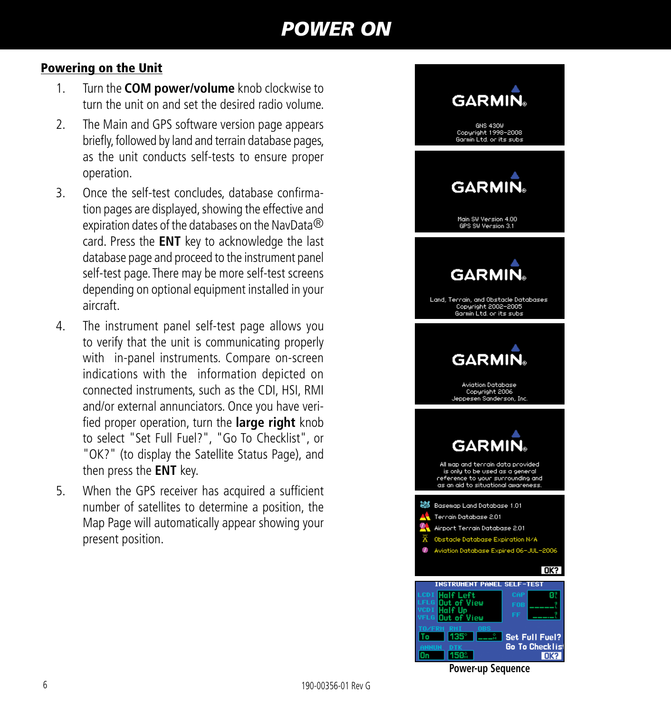### *POWER ON*

#### Powering on the Unit

- 1. Turn the **COM power/volume** knob clockwise to turn the unit on and set the desired radio volume.
- 2. The Main and GPS software version page appears briefly, followed by land and terrain database pages, as the unit conducts self-tests to ensure proper operation.
- 3. Once the self-test concludes, database confirmation pages are displayed, showing the effective and expiration dates of the databases on the NavData® card. Press the **ENT** key to acknowledge the last database page and proceed to the instrument panel self-test page. There may be more self-test screens depending on optional equipment installed in your aircraft.
- 4. The instrument panel self-test page allows you to verify that the unit is communicating properly with in-panel instruments. Compare on-screen indications with the information depicted on connected instruments, such as the CDI, HSI, RMI and/or external annunciators. Once you have verified proper operation, turn the **large right** knob to select "Set Full Fuel?", "Go To Checklist", or "OK?" (to display the Satellite Status Page), and then press the **ENT** key.
- 5. When the GPS receiver has acquired a sufficient number of satellites to determine a position, the Map Page will automatically appear showing your present position.



**Power-up Sequence**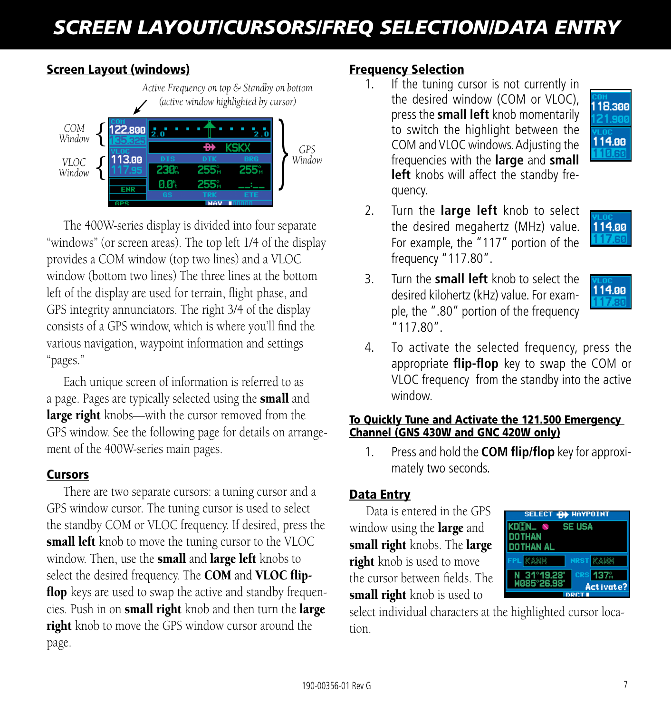# *SCREEN LAYOUT/CURSORS/FREQ SELECTION/DATA ENTRY*

#### Screen Layout (windows)



The 400W-series display is divided into four separate "windows" (or screen areas). The top left 1/4 of the display provides a COM window (top two lines) and a VLOC window (bottom two lines) The three lines at the bottom left of the display are used for terrain, flight phase, and GPS integrity annunciators. The right 3/4 of the display consists of a GPS window, which is where you'll find the various navigation, waypoint information and settings "pages."

Each unique screen of information is referred to as a page. Pages are typically selected using the small and large right knobs—with the cursor removed from the GPS window. See the following page for details on arrangement of the 400W-series main pages.

#### **Cursors**

There are two separate cursors: a tuning cursor and a GPS window cursor. The tuning cursor is used to select the standby COM or VLOC frequency. If desired, press the small left knob to move the tuning cursor to the VLOC window. Then, use the **small** and **large left** knobs to select the desired frequency. The COM and VLOC flipflop keys are used to swap the active and standby frequencies. Push in on small right knob and then turn the large right knob to move the GPS window cursor around the page.

#### Frequency Selection

1. If the tuning cursor is not currently in the desired window (COM or VLOC), press the **small left** knob momentarily to switch the highlight between the COM and VLOC windows. Adjusting the frequencies with the **large** and **small left** knobs will affect the standby frequency.



2. Turn the **large left** knob to select the desired megahertz (MHz) value. For example, the "117" portion of the frequency "117.80".



3. Turn the **small left** knob to select the desired kilohertz (kHz) value. For example, the ".80" portion of the frequency "117.80".



4. To activate the selected frequency, press the appropriate **flip-flop** key to swap the COM or VLOC frequency from the standby into the active window.

#### To Quickly Tune and Activate the 121.500 Emergency Channel (GNS 430W and GNC 420W only)

1. Press and hold the **COM flip/flop** key for approximately two seconds.

#### Data Entry

Data is entered in the GPS window using the **large** and small right knobs. The large right knob is used to move the cursor between fields. The small right knob is used to



select individual characters at the highlighted cursor location.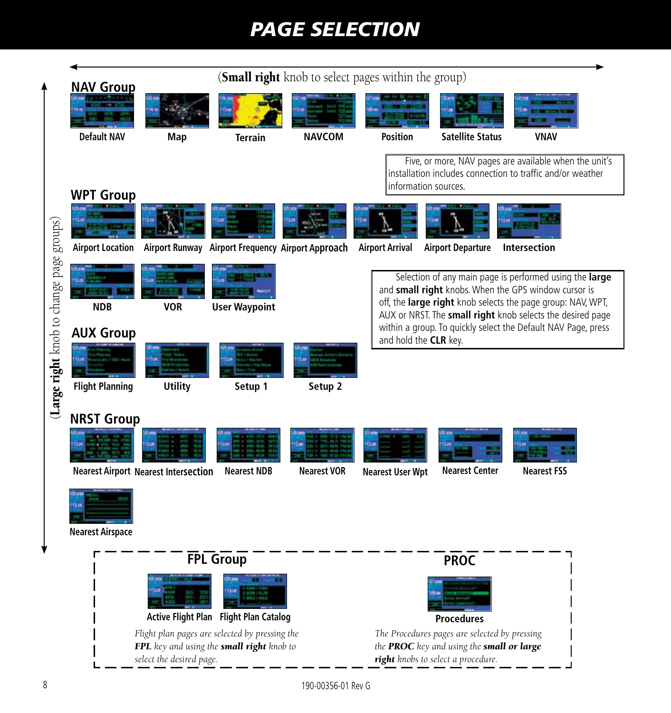## *PAGE SELECTION*

|                                          |                                        |                                             |                                                                                             | ( <b>Small right</b> knob to select pages within the group) |                         |                                                                                                                                  |                                                                                                                                                                                                                                              |
|------------------------------------------|----------------------------------------|---------------------------------------------|---------------------------------------------------------------------------------------------|-------------------------------------------------------------|-------------------------|----------------------------------------------------------------------------------------------------------------------------------|----------------------------------------------------------------------------------------------------------------------------------------------------------------------------------------------------------------------------------------------|
|                                          | <b>NAV Group</b><br><b>Default NAV</b> | Map                                         | <b>Terrain</b>                                                                              | <b>NAVCOM</b>                                               | <b>Position</b>         | <b>Satellite Status</b>                                                                                                          | <b>VNAV</b>                                                                                                                                                                                                                                  |
|                                          |                                        |                                             |                                                                                             |                                                             |                         | information sources.                                                                                                             | Five, or more, NAV pages are available when the unit's<br>installation includes connection to traffic and/or weather                                                                                                                         |
|                                          | <b>WPT Group</b>                       |                                             |                                                                                             |                                                             |                         |                                                                                                                                  |                                                                                                                                                                                                                                              |
|                                          |                                        |                                             | Airport Location Airport Runway Airport Frequency Airport Approach                          |                                                             | <b>Airport Arrival</b>  | <b>Airport Departure</b>                                                                                                         | <b>Intersection</b>                                                                                                                                                                                                                          |
|                                          | <b>NDB</b>                             | <b>VOR</b>                                  | <b>User Waypoint</b>                                                                        |                                                             |                         |                                                                                                                                  | Selection of any main page is performed using the large<br>and small right knobs. When the GPS window cursor is<br>off, the large right knob selects the page group: NAV, WPT,<br>AUX or NRST. The small right knob selects the desired page |
|                                          | <b>AUX Group</b>                       |                                             |                                                                                             |                                                             | and hold the CLR key.   |                                                                                                                                  | within a group. To quickly select the Default NAV Page, press                                                                                                                                                                                |
| (Large right knob to change page groups) | <b>Flight Planning</b>                 | <b>Utility</b>                              | Setup 1                                                                                     | Setup 2                                                     |                         |                                                                                                                                  |                                                                                                                                                                                                                                              |
|                                          | <b>NRST Group</b>                      |                                             |                                                                                             |                                                             |                         |                                                                                                                                  |                                                                                                                                                                                                                                              |
|                                          | <b>Nearest Airspace</b>                | <b>Nearest Airport Nearest Intersection</b> | <b>Nearest NDB</b>                                                                          | <b>Nearest VOR</b>                                          | <b>Nearest User Wpt</b> | <b>Nearest Center</b>                                                                                                            | <b>Nearest FSS</b>                                                                                                                                                                                                                           |
|                                          |                                        |                                             | <b>FPL Group</b>                                                                            |                                                             |                         | <b>PROC</b>                                                                                                                      |                                                                                                                                                                                                                                              |
|                                          |                                        |                                             | Active Flight Plan Flight Plan Catalog                                                      |                                                             |                         | <b>Procedures</b>                                                                                                                |                                                                                                                                                                                                                                              |
|                                          |                                        | select the desired page.                    | Flight plan pages are selected by pressing the<br>FPL key and using the small right knob to |                                                             |                         | The Procedures pages are selected by pressing<br>the PROC key and using the small or large<br>right knobs to select a procedure. |                                                                                                                                                                                                                                              |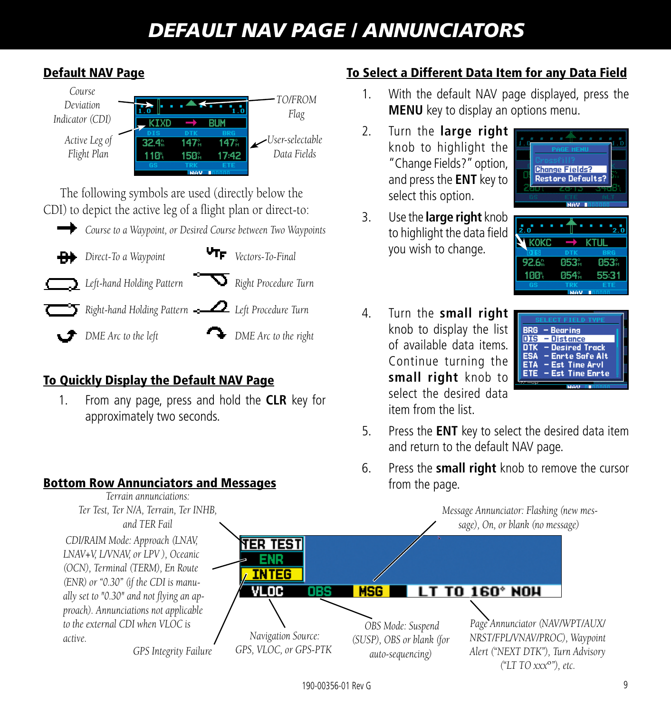### *DEFAULT NAV PAGE / ANNUNCIATORS*



#### Default NAV Page

#### To Quickly Display the Default NAV Page

1. From any page, press and hold the **CLR** key for approximately two seconds.

#### Bottom Row Annunciators and Messages *Terrain annunciations:*

#### To Select a Different Data Item for any Data Field

- 1. With the default NAV page displayed, press the **MENU** key to display an options menu.
- 2. Turn the **large right**  knob to highlight the "Change Fields?" option, and press the **ENT** key to select this option.
- 3. Use the **large right** knob to highlight the data field you wish to change.





4. Turn the **small right**  knob to display the list of available data items. Continue turning the **small right** knob to select the desired data item from the list.

| <b>SELECT FIELD TYPE</b>                                                                                                    |  |
|-----------------------------------------------------------------------------------------------------------------------------|--|
|                                                                                                                             |  |
| <b>BRG</b><br>$-$ Bearing                                                                                                   |  |
|                                                                                                                             |  |
| DIS<br>– Distance                                                                                                           |  |
|                                                                                                                             |  |
|                                                                                                                             |  |
|                                                                                                                             |  |
|                                                                                                                             |  |
|                                                                                                                             |  |
|                                                                                                                             |  |
|                                                                                                                             |  |
|                                                                                                                             |  |
|                                                                                                                             |  |
| <b>DTK</b><br>- Desired Track<br><b>ESA</b><br>- Enrte Safe Alt<br><b>ETA</b><br>– Est Time Arvl<br>ETE<br>- Est Time Enrte |  |

- 5. Press the **ENT** key to select the desired data item and return to the default NAV page.
- 6. Press the **small right** knob to remove the cursor from the page.

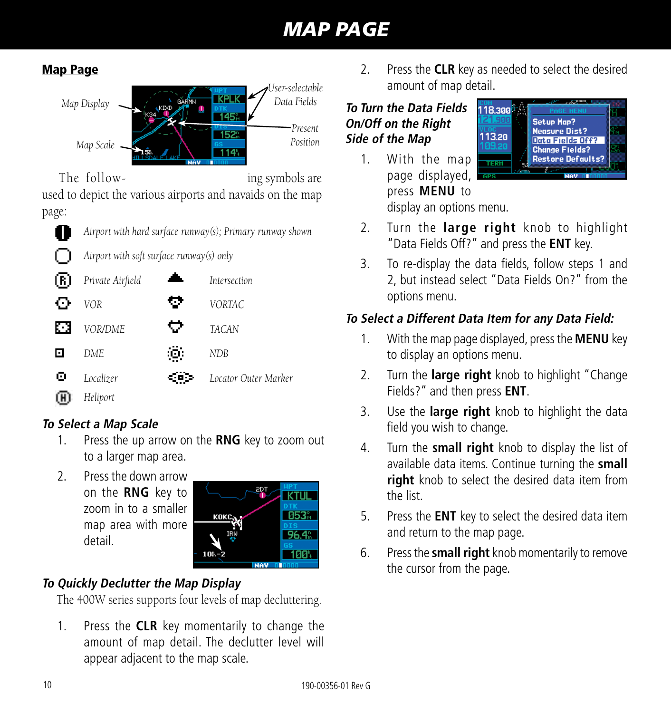### *MAP PAGE*

#### Map Page



The follow- ing symbols are

used to depict the various airports and navaids on the map page:



*Airport with hard surface runway(s); Primary runway shown*



*Airport with soft surface runway(s) only*



### **To Select a Map Scale**

- 1. Press the up arrow on the **RNG** key to zoom out to a larger map area.
- 2. Press the down arrow on the **RNG** key to zoom in to a smaller map area with more detail.



### **To Quickly Declutter the Map Display**

The 400W series supports four levels of map decluttering.

1. Press the **CLR** key momentarily to change the amount of map detail. The declutter level will appear adjacent to the map scale.

2. Press the **CLR** key as needed to select the desired amount of map detail.

#### **To Turn the Data Fields On/Off on the Right Side of the Map**

1. With the map page displayed, press **MENU** to display an options menu.



- 2. Turn the **large right** knob to highlight "Data Fields Off?" and press the **ENT** key.
- 3. To re-display the data fields, follow steps 1 and 2, but instead select "Data Fields On?" from the options menu.

### **To Select a Different Data Item for any Data Field:**

- 1. With the map page displayed, press the **MENU** key to display an options menu.
- 2. Turn the **large right** knob to highlight "Change Fields?" and then press **ENT**.
- 3. Use the **large right** knob to highlight the data field you wish to change.
- 4. Turn the **small right** knob to display the list of available data items. Continue turning the **small right** knob to select the desired data item from the list.
- 5. Press the **ENT** key to select the desired data item and return to the map page.
- 6. Press the **small right** knob momentarily to remove the cursor from the page.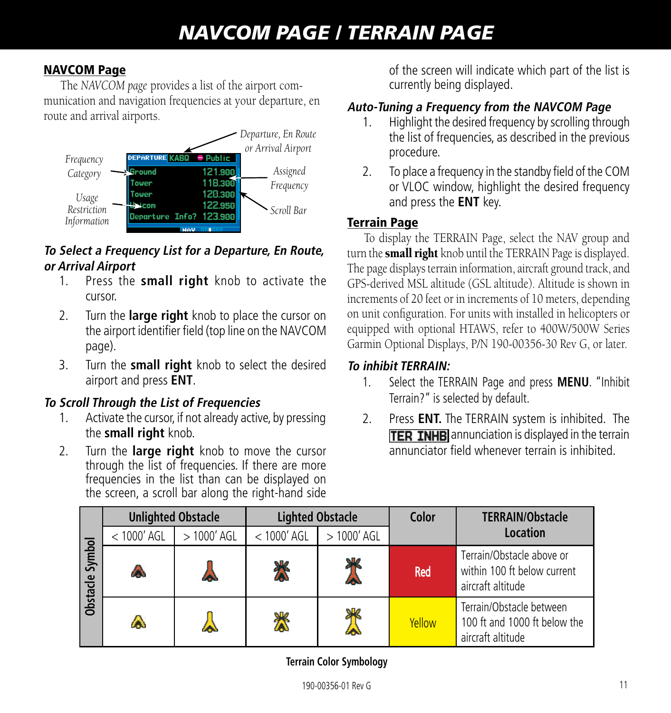#### NAVCOM Page

The *NAVCOM page* provides a list of the airport communication and navigation frequencies at your departure, en route and arrival airports.



#### **To Select a Frequency List for a Departure, En Route, or Arrival Airport**

- 1. Press the **small right** knob to activate the cursor.
- 2. Turn the **large right** knob to place the cursor on the airport identifier field (top line on the NAVCOM page).
- 3. Turn the **small right** knob to select the desired airport and press **ENT**.

#### **To Scroll Through the List of Frequencies**

- 1. Activate the cursor, if not already active, by pressing the **small right** knob.
- 2. Turn the **large right** knob to move the cursor through the list of frequencies. If there are more frequencies in the list than can be displayed on the screen, a scroll bar along the right-hand side

of the screen will indicate which part of the list is currently being displayed.

#### **Auto-Tuning a Frequency from the NAVCOM Page**

- 1. Highlight the desired frequency by scrolling through the list of frequencies, as described in the previous procedure.
- 2. To place a frequency in the standby field of the COM or VLOC window, highlight the desired frequency and press the **ENT** key.

#### Terrain Page

To display the TERRAIN Page, select the NAV group and turn the **small right** knob until the TERRAIN Page is displayed. The page displays terrain information, aircraft ground track, and GPS-derived MSL altitude (GSL altitude). Altitude is shown in increments of 20 feet or in increments of 10 meters, depending on unit configuration. For units with installed in helicopters or equipped with optional HTAWS, refer to 400W/500W Series Garmin Optional Displays, P/N 190-00356-30 Rev G, or later.

#### **To inhibit TERRAIN:**

- 1. Select the TERRAIN Page and press **MENU**. "Inhibit Terrain?" is selected by default.
- 2. Press **ENT.** The TERRAIN system is inhibited. The **TER INHB** annunciation is displayed in the terrain annunciator field whenever terrain is inhibited.

|                      | <b>Unlighted Obstacle</b> |              | <b>Lighted Obstacle</b> |              | Color      | <b>TERRAIN/Obstacle</b>                                                       |
|----------------------|---------------------------|--------------|-------------------------|--------------|------------|-------------------------------------------------------------------------------|
|                      | $<$ 1000' AGL             | $>1000'$ AGL | $<$ 1000' AGL           | $>1000'$ AGL |            | <b>Location</b>                                                               |
| Symbol<br>Obstacle 9 | ٨                         |              | Х                       | Ж            | <b>Red</b> | Terrain/Obstacle above or<br>within 100 ft below current<br>aircraft altitude |
|                      | ۵                         |              |                         | ۹Ш           | Yellow     | Terrain/Obstacle between<br>100 ft and 1000 ft below the<br>aircraft altitude |

**Terrain Color Symbology**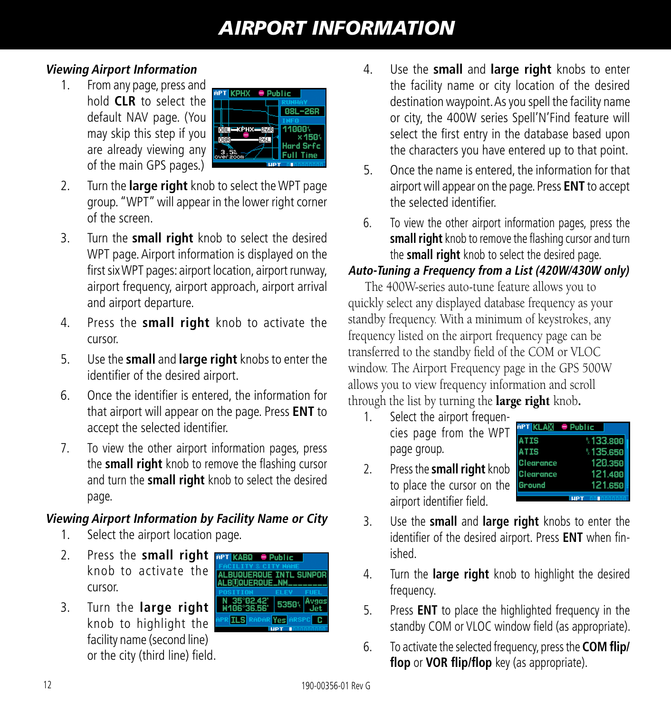### *AIRPORT INFORMATION*

#### **Viewing Airport Information**

1. From any page, press and hold **CLR** to select the default NAV page. (You may skip this step if you are already viewing any of the main GPS pages.)



- 2. Turn the **large right** knob to select the WPT page group. "WPT" will appear in the lower right corner of the screen.
- 3. Turn the **small right** knob to select the desired WPT page. Airport information is displayed on the first six WPT pages: airport location, airport runway, airport frequency, airport approach, airport arrival and airport departure.
- 4. Press the **small right** knob to activate the cursor.
- 5. Use the **small** and **large right** knobs to enter the identifier of the desired airport.
- 6. Once the identifier is entered, the information for that airport will appear on the page. Press **ENT** to accept the selected identifier.
- 7. To view the other airport information pages, press the **small right** knob to remove the flashing cursor and turn the **small right** knob to select the desired page.

#### **Viewing Airport Information by Facility Name or City**

- 1. Select the airport location page.
- 2. Press the **small right**  knob to activate the cursor.
- 3. Turn the **large right**  knob to highlight the facility name (second line) or the city (third line) field.



- 4. Use the **small** and **large right** knobs to enter the facility name or city location of the desired destination waypoint. As you spell the facility name or city, the 400W series Spell'N'Find feature will select the first entry in the database based upon the characters you have entered up to that point.
- 5. Once the name is entered, the information for that airport will appear on the page. Press **ENT** to accept the selected identifier.
- 6. To view the other airport information pages, press the **small right** knob to remove the flashing cursor and turn the **small right** knob to select the desired page.

#### **Auto-Tuning a Frequency from a List (420W/430W only)**

The 400W-series auto-tune feature allows you to quickly select any displayed database frequency as your standby frequency. With a minimum of keystrokes, any frequency listed on the airport frequency page can be transferred to the standby field of the COM or VLOC window. The Airport Frequency page in the GPS 500W allows you to view frequency information and scroll through the list by turning the **large right** knob.

1. Select the airport frequencies page from the WPT page group.

|   | APT KLA⊠ ● Public |           |
|---|-------------------|-----------|
|   | ATIS              | \$133.800 |
|   | <b>ATIS</b>       | \$135,650 |
|   | Clearance         | 120.350   |
| ງ | <b>Clearance</b>  | 121.400   |
| ë | Ground            | 121.650   |
|   |                   |           |

- 2. Press the **small right** knob to place the cursor on the airport identifier field.
- 3. Use the **small** and **large right** knobs to enter the identifier of the desired airport. Press **ENT** when finished.
- 4. Turn the **large right** knob to highlight the desired frequency.
- 5. Press **ENT** to place the highlighted frequency in the standby COM or VLOC window field (as appropriate).
- 6. To activate the selected frequency, press the **COM flip/ flop** or **VOR flip/flop** key (as appropriate).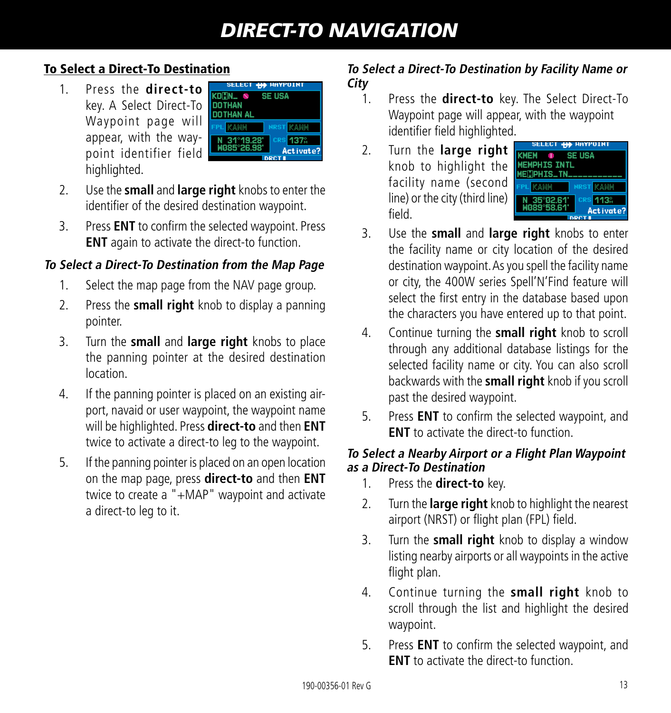#### To Select a Direct-To Destination

1. Press the **direct-to**  key. A Select Direct-To Waypoint page will appear, with the waypoint identifier field highlighted.

| SELECT <b>440</b> HAYPOINT |                 |
|----------------------------|-----------------|
| KD <b>in</b> l & Se USA    |                 |
| ) THAN                     |                 |
| DTHAN AL                   |                 |
|                            | <b>NRST</b>     |
| N 31°19.28'<br>W085°26.98' | <b>CRS 137%</b> |
|                            | Activate?       |
|                            |                 |

- 2. Use the **small** and **large right** knobs to enter the identifier of the desired destination waypoint.
- 3. Press **ENT** to confirm the selected waypoint. Press **ENT** again to activate the direct-to function.

#### **To Select a Direct-To Destination from the Map Page**

- 1. Select the map page from the NAV page group.
- 2. Press the **small right** knob to display a panning pointer.
- 3. Turn the **small** and **large right** knobs to place the panning pointer at the desired destination location.
- 4. If the panning pointer is placed on an existing airport, navaid or user waypoint, the waypoint name will be highlighted. Press **direct-to** and then **ENT** twice to activate a direct-to leg to the waypoint.
- 5. If the panning pointer is placed on an open location on the map page, press **direct-to** and then **ENT** twice to create a "+MAP" waypoint and activate a direct-to leg to it.

#### **To Select a Direct-To Destination by Facility Name or City**

- 1. Press the **direct-to** key. The Select Direct-To Waypoint page will appear, with the waypoint identifier field highlighted.
- 2. Turn the **large right**  knob to highlight the facility name (second line) or the city (third line) field.



- 3. Use the **small** and **large right** knobs to enter the facility name or city location of the desired destination waypoint. As you spell the facility name or city, the 400W series Spell'N'Find feature will select the first entry in the database based upon the characters you have entered up to that point.
- 4. Continue turning the **small right** knob to scroll through any additional database listings for the selected facility name or city. You can also scroll backwards with the **small right** knob if you scroll past the desired waypoint.
- 5. Press **ENT** to confirm the selected waypoint, and **ENT** to activate the direct-to function.

#### **To Select a Nearby Airport or a Flight Plan Waypoint as a Direct-To Destination**

- 1. Press the **direct-to** key.
- 2. Turn the **large right** knob to highlight the nearest airport (NRST) or flight plan (FPL) field.
- 3. Turn the **small right** knob to display a window listing nearby airports or all waypoints in the active flight plan.
- 4. Continue turning the **small right** knob to scroll through the list and highlight the desired waypoint.
- 5. Press **ENT** to confirm the selected waypoint, and **ENT** to activate the direct-to function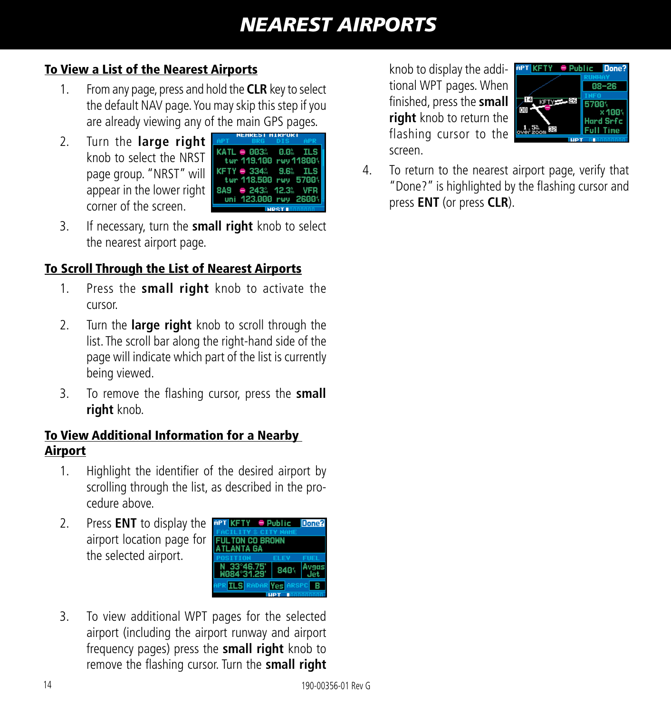### *NEAREST AIRPORTS*

#### To View a List of the Nearest Airports

- 1. From any page, press and hold the **CLR** key to select the default NAV page. You may skip this step if you are already viewing any of the main GPS pages.
- 2. Turn the **large right**  knob to select the NRST page group. "NRST" will appear in the lower right corner of the screen.



3. If necessary, turn the **small right** knob to select the nearest airport page.

### To Scroll Through the List of Nearest Airports

- 1. Press the **small right** knob to activate the cursor.
- 2. Turn the **large right** knob to scroll through the list. The scroll bar along the right-hand side of the page will indicate which part of the list is currently being viewed.
- 3. To remove the flashing cursor, press the **small right** knob.

#### To View Additional Information for a Nearby Airport

- 1. Highlight the identifier of the desired airport by scrolling through the list, as described in the procedure above.
- 2. Press **ENT** to display the **APT KETY Public Done?** airport location page for the selected airport.



3. To view additional WPT pages for the selected airport (including the airport runway and airport frequency pages) press the **small right** knob to remove the flashing cursor. Turn the **small right** 

knob to display the additional WPT pages. When finished, press the **small right** knob to return the flashing cursor to the screen.



4. To return to the nearest airport page, verify that "Done?" is highlighted by the flashing cursor and press **ENT** (or press **CLR**).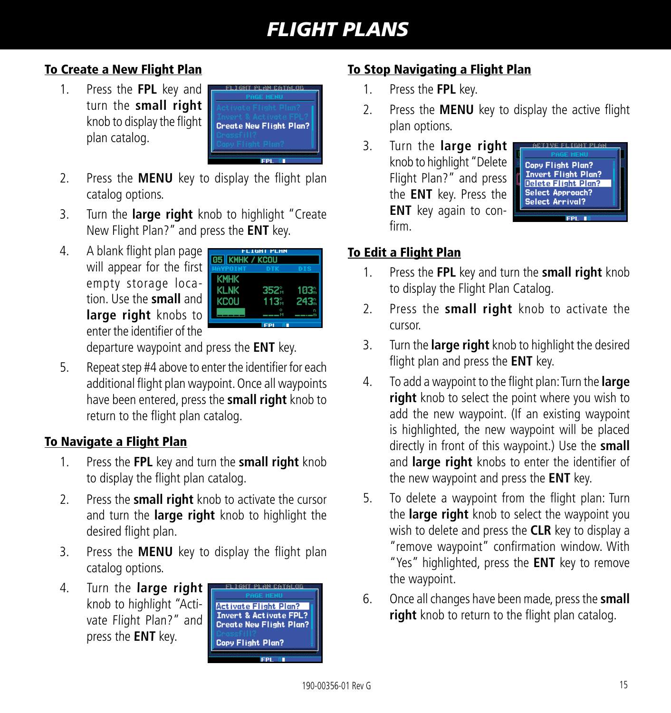### *FLIGHT PLANS*

#### To Create a New Flight Plan

1. Press the **FPL** key and turn the **small right**  knob to display the flight plan catalog.



- 2. Press the **MENU** key to display the flight plan catalog options.
- 3. Turn the **large right** knob to highlight "Create New Flight Plan?" and press the **ENT** key.
- 4. A blank flight plan page will appear for the first empty storage location. Use the **small** and **large right** knobs to enter the identifier of the

| <b>05 KMHK / KCOU</b> | FLIGHT PLAN |      |
|-----------------------|-------------|------|
| <b>IAVPOTNT</b>       | ntk         |      |
| <b>KMHK</b>           |             |      |
| <b>KLNK</b>           | 352%        | 103. |
| KCOLI                 | 113.        | 243. |
|                       |             |      |
|                       |             |      |

departure waypoint and press the **ENT** key.

5. Repeat step #4 above to enter the identifier for each additional flight plan waypoint. Once all waypoints have been entered, press the **small right** knob to return to the flight plan catalog.

#### To Navigate a Flight Plan

- 1. Press the **FPL** key and turn the **small right** knob to display the flight plan catalog.
- 2. Press the **small right** knob to activate the cursor and turn the **large right** knob to highlight the desired flight plan.
- 3. Press the **MENU** key to display the flight plan catalog options.
- 4. Turn the **large right**  knob to highlight "Activate Flight Plan?" and press the **ENT** key.



#### To Stop Navigating a Flight Plan

- 1. Press the **FPL** key.
- 2. Press the **MENU** key to display the active flight plan options.
- 3. Turn the **large right**  knob to highlight "Delete Flight Plan?" and press the **ENT** key. Press the **ENT** key again to confirm.



### To Edit a Flight Plan

- 1. Press the **FPL** key and turn the **small right** knob to display the Flight Plan Catalog.
- 2. Press the **small right** knob to activate the cursor.
- 3. Turn the **large right** knob to highlight the desired flight plan and press the **ENT** key.
- 4. To add a waypoint to the flight plan: Turn the **large right** knob to select the point where you wish to add the new waypoint. (If an existing waypoint is highlighted, the new waypoint will be placed directly in front of this waypoint.) Use the **small** and **large right** knobs to enter the identifier of the new waypoint and press the **ENT** key.
- 5. To delete a waypoint from the flight plan: Turn the **large right** knob to select the waypoint you wish to delete and press the **CLR** key to display a "remove waypoint" confirmation window. With "Yes" highlighted, press the **ENT** key to remove the waypoint.
- 6. Once all changes have been made, press the **small right** knob to return to the flight plan catalog.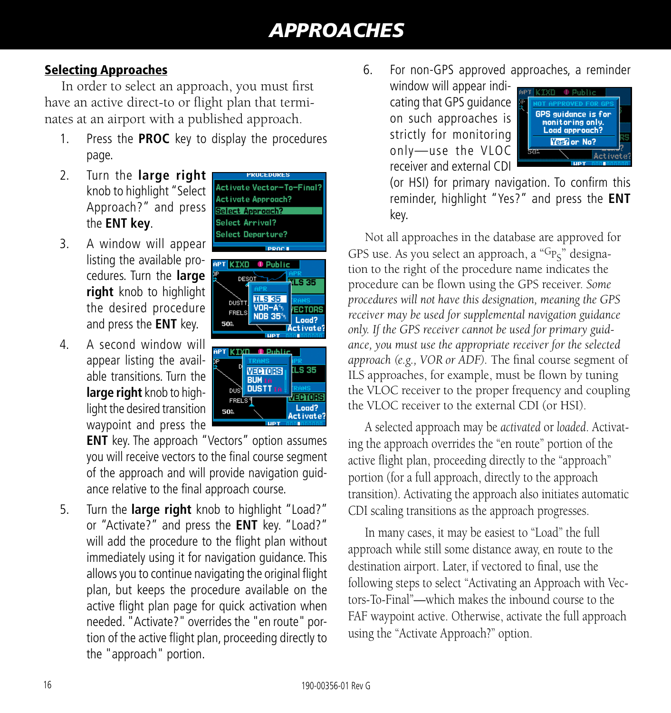#### Selecting Approaches

In order to select an approach, you must first have an active direct-to or flight plan that terminates at an airport with a published approach.

- 1. Press the **PROC** key to display the procedures page.
- 2. Turn the **large right**  knob to highlight "Select Approach?" and press the **ENT key**.
- 3. A window will appear listing the available procedures. Turn the **large right** knob to highlight the desired procedure and press the **ENT** key.
- 4. A second window will appear listing the available transitions. Turn the **large right** knob to highlight the desired transition waypoint and press the





**ENT** key. The approach "Vectors" option assumes you will receive vectors to the final course segment of the approach and will provide navigation guidance relative to the final approach course.

5. Turn the **large right** knob to highlight "Load?" or "Activate?" and press the **ENT** key. "Load?" will add the procedure to the flight plan without immediately using it for navigation guidance. This allows you to continue navigating the original flight plan, but keeps the procedure available on the active flight plan page for quick activation when needed. "Activate?" overrides the "en route" portion of the active flight plan, proceeding directly to the "approach" portion.

- 6. For non-GPS approved approaches, a reminder
	- window will appear indicating that GPS guidance on such approaches is strictly for monitoring only—use the VLOC receiver and external CDI



(or HSI) for primary navigation. To confirm this reminder, highlight "Yes?" and press the **ENT**  key.

Not all approaches in the database are approved for GPS use. As you select an approach, a " $G_{P<sub>S</sub>}$ " designation to the right of the procedure name indicates the procedure can be flown using the GPS receiver. *Some procedures will not have this designation, meaning the GPS receiver may be used for supplemental navigation guidance only. If the GPS receiver cannot be used for primary guidance, you must use the appropriate receiver for the selected approach (e.g., VOR or ADF).* The final course segment of ILS approaches, for example, must be flown by tuning the VLOC receiver to the proper frequency and coupling the VLOC receiver to the external CDI (or HSI).

A selected approach may be *activated* or *loaded*. Activating the approach overrides the "en route" portion of the active flight plan, proceeding directly to the "approach" portion (for a full approach, directly to the approach transition). Activating the approach also initiates automatic CDI scaling transitions as the approach progresses.

In many cases, it may be easiest to "Load" the full approach while still some distance away, en route to the destination airport. Later, if vectored to final, use the following steps to select "Activating an Approach with Vectors-To-Final"—which makes the inbound course to the FAF waypoint active. Otherwise, activate the full approach using the "Activate Approach?" option.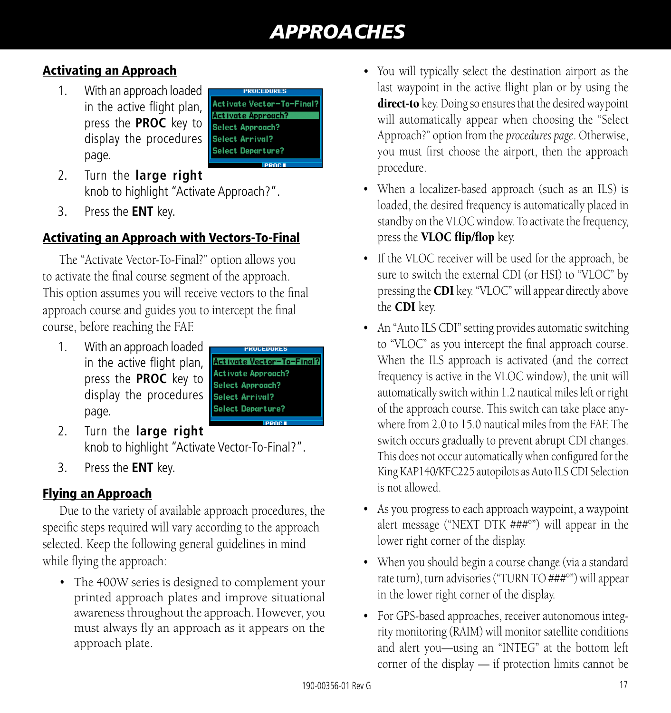#### Activating an Approach

1. With an approach loaded in the active flight plan, press the **PROC** key to display the procedures page.



- 2. Turn the **large right**  knob to highlight "Activate Approach?".
- 3. Press the **ENT** key.

#### Activating an Approach with Vectors-To-Final

The "Activate Vector-To-Final?" option allows you to activate the final course segment of the approach. This option assumes you will receive vectors to the final approach course and guides you to intercept the final course, before reaching the FAF.

1. With an approach loaded in the active flight plan, press the **PROC** key to display the procedures page.



- 2. Turn the **large right**  knob to highlight "Activate Vector-To-Final?".
- 3. Press the **ENT** key.

#### Flying an Approach

Due to the variety of available approach procedures, the specific steps required will vary according to the approach selected. Keep the following general guidelines in mind while flying the approach:

• The 400W series is designed to complement your printed approach plates and improve situational awareness throughout the approach. However, you must always fly an approach as it appears on the approach plate.

- You will typically select the destination airport as the last waypoint in the active flight plan or by using the direct-to key. Doing so ensures that the desired waypoint will automatically appear when choosing the "Select Approach?" option from the *procedures page*. Otherwise, you must first choose the airport, then the approach procedure.
- When a localizer-based approach (such as an ILS) is loaded, the desired frequency is automatically placed in standby on the VLOC window. To activate the frequency, press the VLOC flip/flop key.
- If the VLOC receiver will be used for the approach, be sure to switch the external CDI (or HSI) to "VLOC" by pressing the CDI key. "VLOC" will appear directly above the CDI key.
- An "Auto ILS CDI" setting provides automatic switching to "VLOC" as you intercept the final approach course. When the ILS approach is activated (and the correct frequency is active in the VLOC window), the unit will automatically switch within 1.2 nautical miles left or right of the approach course. This switch can take place anywhere from 2.0 to 15.0 nautical miles from the FAF. The switch occurs gradually to prevent abrupt CDI changes. This does not occur automatically when configured for the King KAP140/KFC225 autopilots as Auto ILS CDI Selection is not allowed.
- As you progress to each approach waypoint, a waypoint alert message ("NEXT DTK ###°") will appear in the lower right corner of the display.
- When you should begin a course change (via a standard rate turn), turn advisories ("TURN TO ###°") will appear in the lower right corner of the display.
- For GPS-based approaches, receiver autonomous integrity monitoring (RAIM) will monitor satellite conditions and alert you—using an "INTEG" at the bottom left corner of the display — if protection limits cannot be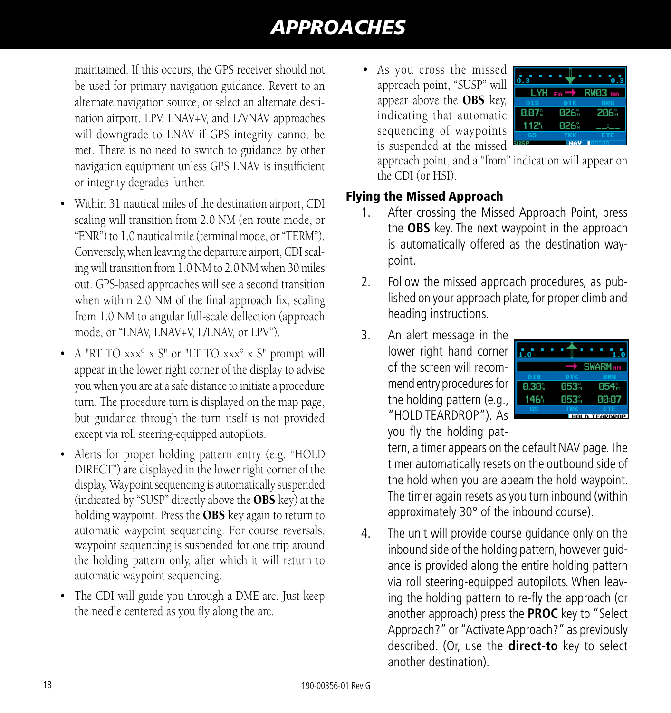maintained. If this occurs, the GPS receiver should not be used for primary navigation guidance. Revert to an alternate navigation source, or select an alternate destination airport. LPV, LNAV+V, and L/VNAV approaches will downgrade to LNAV if GPS integrity cannot be met. There is no need to switch to guidance by other navigation equipment unless GPS LNAV is insufficient or integrity degrades further.

- Within 31 nautical miles of the destination airport, CDI scaling will transition from 2.0 NM (en route mode, or "ENR") to 1.0 nautical mile (terminal mode, or "TERM"). Conversely, when leaving the departure airport, CDI scaling will transition from 1.0 NM to 2.0 NM when 30 miles out. GPS-based approaches will see a second transition when within 2.0 NM of the final approach fix, scaling from 1.0 NM to angular full-scale deflection (approach mode, or "LNAV, LNAV+V, L/LNAV, or LPV").
- A "RT TO xxx° x S" or "LT TO xxx° x S" prompt will appear in the lower right corner of the display to advise you when you are at a safe distance to initiate a procedure turn. The procedure turn is displayed on the map page, but guidance through the turn itself is not provided except via roll steering-equipped autopilots.
- Alerts for proper holding pattern entry (e.g. "HOLD" DIRECT") are displayed in the lower right corner of the display. Waypoint sequencing is automatically suspended (indicated by "SUSP" directly above the OBS key) at the holding waypoint. Press the OBS key again to return to automatic waypoint sequencing. For course reversals, waypoint sequencing is suspended for one trip around the holding pattern only, after which it will return to automatic waypoint sequencing.
- The CDI will guide you through a DME arc. Just keep the needle centered as you fly along the arc.

• As you cross the missed approach point, "SUSP" will appear above the OBS key, indicating that automatic sequencing of waypoints is suspended at the missed



approach point, and a "from" indication will appear on the CDI (or HSI).

#### Flying the Missed Approach

- 1. After crossing the Missed Approach Point, press the **OBS** key. The next waypoint in the approach is automatically offered as the destination waypoint.
- 2. Follow the missed approach procedures, as published on your approach plate, for proper climb and heading instructions.
- 3. An alert message in the lower right hand corner of the screen will recommend entry procedures for the holding pattern (e.g., "HOLD TEARDROP"). As you fly the holding pat-



tern, a timer appears on the default NAV page. The timer automatically resets on the outbound side of the hold when you are abeam the hold waypoint. The timer again resets as you turn inbound (within approximately 30° of the inbound course).

4. The unit will provide course guidance only on the inbound side of the holding pattern, however guidance is provided along the entire holding pattern via roll steering-equipped autopilots. When leaving the holding pattern to re-fly the approach (or another approach) press the **PROC** key to "Select Approach?" or "Activate Approach?" as previously described. (Or, use the **direct-to** key to select another destination).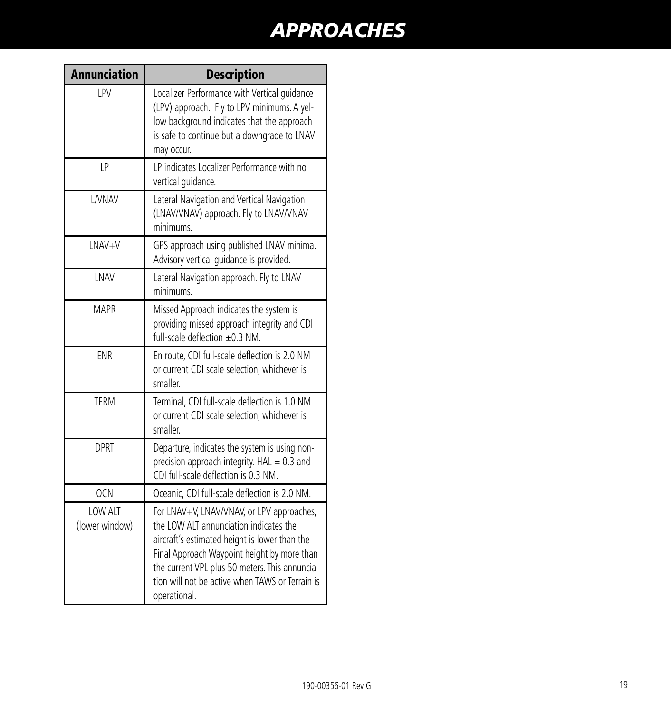| <b>Annunciation</b>       | <b>Description</b>                                                                                                                                                                                                                                                                                       |
|---------------------------|----------------------------------------------------------------------------------------------------------------------------------------------------------------------------------------------------------------------------------------------------------------------------------------------------------|
| LPV                       | Localizer Performance with Vertical quidance<br>(LPV) approach. Fly to LPV minimums. A yel-<br>low background indicates that the approach<br>is safe to continue but a downgrade to LNAV<br>may occur.                                                                                                   |
| LP                        | LP indicates Localizer Performance with no<br>vertical guidance.                                                                                                                                                                                                                                         |
| L/VNAV                    | Lateral Navigation and Vertical Navigation<br>(LNAV/VNAV) approach. Fly to LNAV/VNAV<br>minimums.                                                                                                                                                                                                        |
| LNAV+V                    | GPS approach using published LNAV minima.<br>Advisory vertical guidance is provided.                                                                                                                                                                                                                     |
| LNAV                      | Lateral Navigation approach. Fly to LNAV<br>minimums.                                                                                                                                                                                                                                                    |
| <b>MAPR</b>               | Missed Approach indicates the system is<br>providing missed approach integrity and CDI<br>full-scale deflection $\pm 0.3$ NM.                                                                                                                                                                            |
| <b>ENR</b>                | En route, CDI full-scale deflection is 2.0 NM<br>or current CDI scale selection, whichever is<br>smaller.                                                                                                                                                                                                |
| <b>TFRM</b>               | Terminal, CDI full-scale deflection is 1.0 NM<br>or current CDI scale selection, whichever is<br>smaller.                                                                                                                                                                                                |
| <b>DPRT</b>               | Departure, indicates the system is using non-<br>precision approach integrity. $HAL = 0.3$ and<br>CDI full-scale deflection is 0.3 NM.                                                                                                                                                                   |
| <b>OCN</b>                | Oceanic, CDI full-scale deflection is 2.0 NM.                                                                                                                                                                                                                                                            |
| LOW ALT<br>(lower window) | For LNAV+V, LNAV/VNAV, or LPV approaches,<br>the LOW ALT annunciation indicates the<br>aircraft's estimated height is lower than the<br>Final Approach Waypoint height by more than<br>the current VPL plus 50 meters. This annuncia-<br>tion will not be active when TAWS or Terrain is<br>operational. |